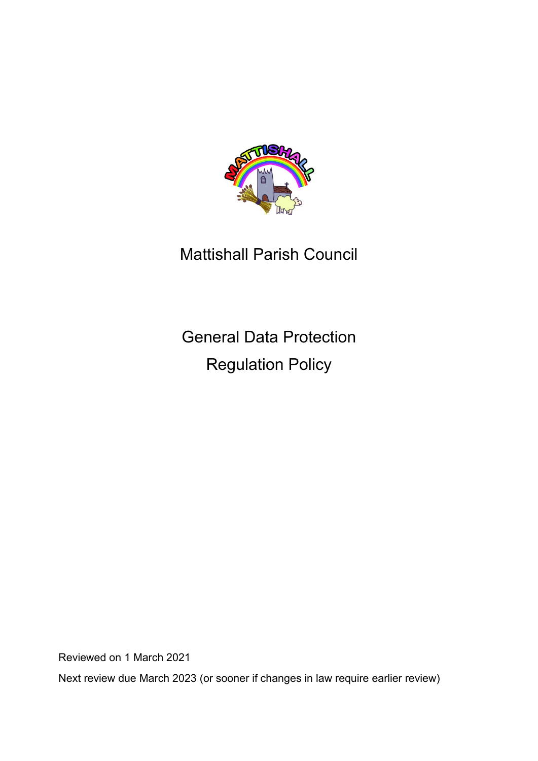

# Mattishall Parish Council

General Data Protection Regulation Policy

Reviewed on 1 March 2021

Next review due March 2023 (or sooner if changes in law require earlier review)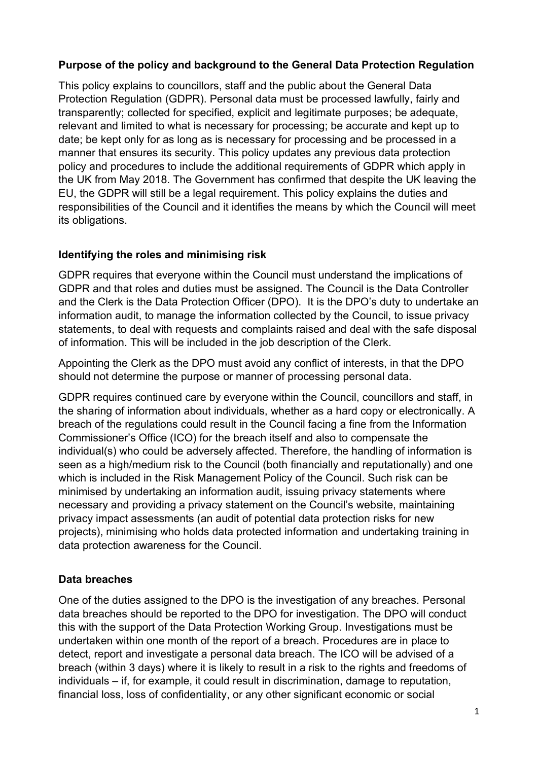#### **Purpose of the policy and background to the General Data Protection Regulation**

This policy explains to councillors, staff and the public about the General Data Protection Regulation (GDPR). Personal data must be processed lawfully, fairly and transparently; collected for specified, explicit and legitimate purposes; be adequate, relevant and limited to what is necessary for processing; be accurate and kept up to date; be kept only for as long as is necessary for processing and be processed in a manner that ensures its security. This policy updates any previous data protection policy and procedures to include the additional requirements of GDPR which apply in the UK from May 2018. The Government has confirmed that despite the UK leaving the EU, the GDPR will still be a legal requirement. This policy explains the duties and responsibilities of the Council and it identifies the means by which the Council will meet its obligations.

## **Identifying the roles and minimising risk**

GDPR requires that everyone within the Council must understand the implications of GDPR and that roles and duties must be assigned. The Council is the Data Controller and the Clerk is the Data Protection Officer (DPO). It is the DPO's duty to undertake an information audit, to manage the information collected by the Council, to issue privacy statements, to deal with requests and complaints raised and deal with the safe disposal of information. This will be included in the job description of the Clerk.

Appointing the Clerk as the DPO must avoid any conflict of interests, in that the DPO should not determine the purpose or manner of processing personal data.

GDPR requires continued care by everyone within the Council, councillors and staff, in the sharing of information about individuals, whether as a hard copy or electronically. A breach of the regulations could result in the Council facing a fine from the Information Commissioner's Office (ICO) for the breach itself and also to compensate the individual(s) who could be adversely affected. Therefore, the handling of information is seen as a high/medium risk to the Council (both financially and reputationally) and one which is included in the Risk Management Policy of the Council. Such risk can be minimised by undertaking an information audit, issuing privacy statements where necessary and providing a privacy statement on the Council's website, maintaining privacy impact assessments (an audit of potential data protection risks for new projects), minimising who holds data protected information and undertaking training in data protection awareness for the Council.

# **Data breaches**

One of the duties assigned to the DPO is the investigation of any breaches. Personal data breaches should be reported to the DPO for investigation. The DPO will conduct this with the support of the Data Protection Working Group. Investigations must be undertaken within one month of the report of a breach. Procedures are in place to detect, report and investigate a personal data breach. The ICO will be advised of a breach (within 3 days) where it is likely to result in a risk to the rights and freedoms of individuals – if, for example, it could result in discrimination, damage to reputation, financial loss, loss of confidentiality, or any other significant economic or social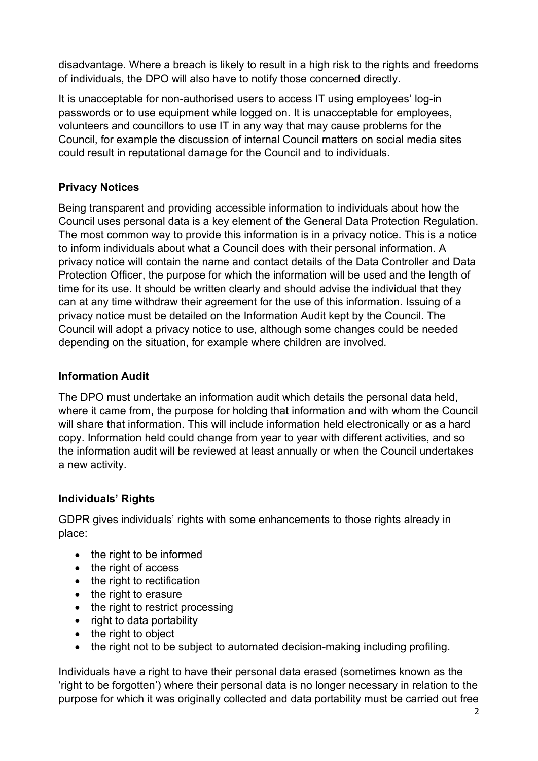disadvantage. Where a breach is likely to result in a high risk to the rights and freedoms of individuals, the DPO will also have to notify those concerned directly.

It is unacceptable for non-authorised users to access IT using employees' log-in passwords or to use equipment while logged on. It is unacceptable for employees, volunteers and councillors to use IT in any way that may cause problems for the Council, for example the discussion of internal Council matters on social media sites could result in reputational damage for the Council and to individuals.

#### **Privacy Notices**

Being transparent and providing accessible information to individuals about how the Council uses personal data is a key element of the General Data Protection Regulation. The most common way to provide this information is in a privacy notice. This is a notice to inform individuals about what a Council does with their personal information. A privacy notice will contain the name and contact details of the Data Controller and Data Protection Officer, the purpose for which the information will be used and the length of time for its use. It should be written clearly and should advise the individual that they can at any time withdraw their agreement for the use of this information. Issuing of a privacy notice must be detailed on the Information Audit kept by the Council. The Council will adopt a privacy notice to use, although some changes could be needed depending on the situation, for example where children are involved.

## **Information Audit**

The DPO must undertake an information audit which details the personal data held, where it came from, the purpose for holding that information and with whom the Council will share that information. This will include information held electronically or as a hard copy. Information held could change from year to year with different activities, and so the information audit will be reviewed at least annually or when the Council undertakes a new activity.

# **Individuals' Rights**

GDPR gives individuals' rights with some enhancements to those rights already in place:

- the right to be informed
- the right of access
- the right to rectification
- the right to erasure
- the right to restrict processing
- right to data portability
- the right to object
- the right not to be subject to automated decision-making including profiling.

Individuals have a right to have their personal data erased (sometimes known as the 'right to be forgotten') where their personal data is no longer necessary in relation to the purpose for which it was originally collected and data portability must be carried out free